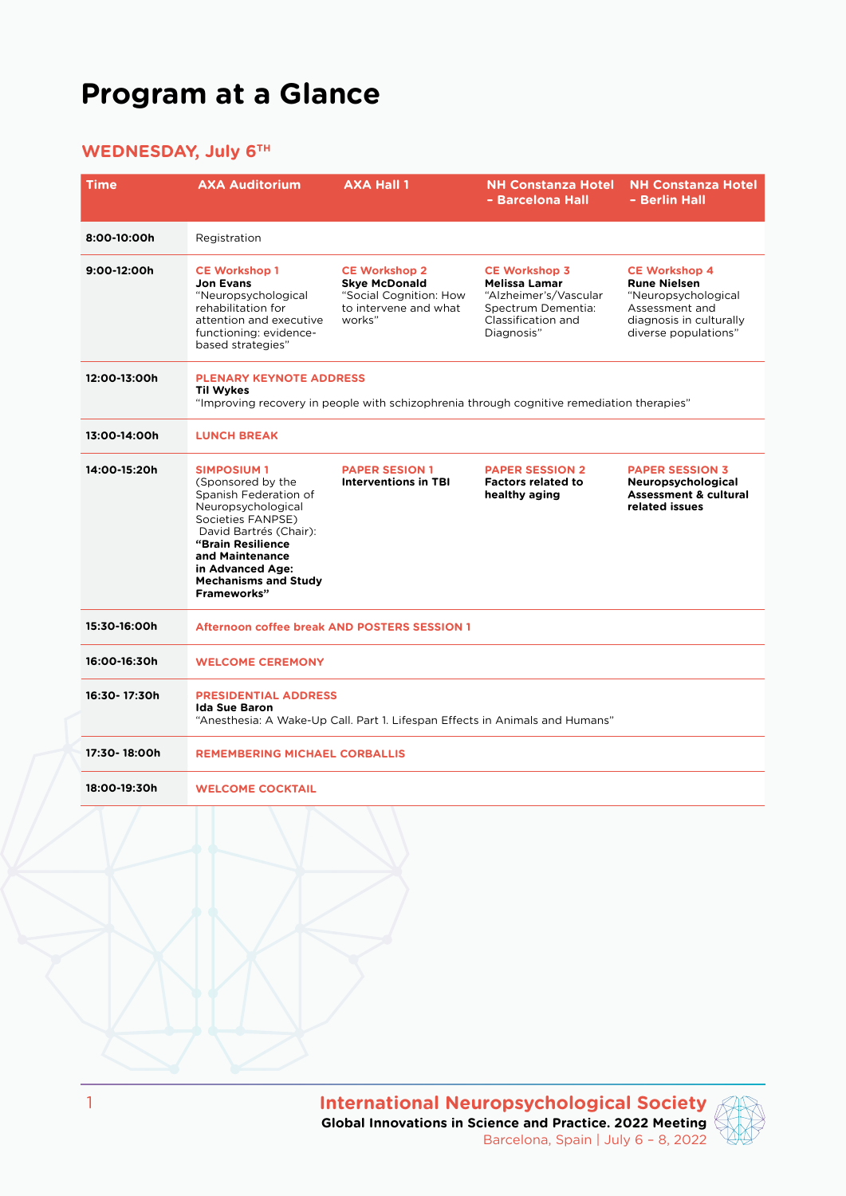# **Program at a Glance**

### **WEDNESDAY, July 6TH**

| <b>Time</b>  | <b>AXA Auditorium</b>                                                                                                                                                                                                                          | <b>AXA Hall 1</b>                                                                                         | <b>NH Constanza Hotel</b><br>- Barcelona Hall                                                                                   | <b>NH Constanza Hotel</b><br>- Berlin Hall                                                                                              |  |  |
|--------------|------------------------------------------------------------------------------------------------------------------------------------------------------------------------------------------------------------------------------------------------|-----------------------------------------------------------------------------------------------------------|---------------------------------------------------------------------------------------------------------------------------------|-----------------------------------------------------------------------------------------------------------------------------------------|--|--|
| 8:00-10:00h  | Registration                                                                                                                                                                                                                                   |                                                                                                           |                                                                                                                                 |                                                                                                                                         |  |  |
| 9:00-12:00h  | <b>CE Workshop 1</b><br><b>Jon Evans</b><br>"Neuropsychological<br>rehabilitation for<br>attention and executive<br>functioning: evidence-<br>based strategies"                                                                                | <b>CE Workshop 2</b><br><b>Skye McDonald</b><br>"Social Cognition: How<br>to intervene and what<br>works" | <b>CE Workshop 3</b><br><b>Melissa Lamar</b><br>"Alzheimer's/Vascular<br>Spectrum Dementia:<br>Classification and<br>Diagnosis" | <b>CE Workshop 4</b><br><b>Rune Nielsen</b><br>"Neuropsychological<br>Assessment and<br>diagnosis in culturally<br>diverse populations" |  |  |
| 12:00-13:00h | <b>PLENARY KEYNOTE ADDRESS</b><br>Til Wykes<br>"Improving recovery in people with schizophrenia through cognitive remediation therapies"                                                                                                       |                                                                                                           |                                                                                                                                 |                                                                                                                                         |  |  |
| 13:00-14:00h | <b>LUNCH BREAK</b>                                                                                                                                                                                                                             |                                                                                                           |                                                                                                                                 |                                                                                                                                         |  |  |
| 14:00-15:20h | <b>SIMPOSIUM1</b><br>(Sponsored by the<br>Spanish Federation of<br>Neuropsychological<br>Societies FANPSE)<br>David Bartrés (Chair):<br>"Brain Resilience<br>and Maintenance<br>in Advanced Age:<br><b>Mechanisms and Study</b><br>Frameworks" | <b>PAPER SESION 1</b><br><b>Interventions in TBI</b>                                                      | <b>PAPER SESSION 2</b><br><b>Factors related to</b><br>healthy aging                                                            | <b>PAPER SESSION 3</b><br>Neuropsychological<br><b>Assessment &amp; cultural</b><br>related issues                                      |  |  |
| 15:30-16:00h | Afternoon coffee break AND POSTERS SESSION 1                                                                                                                                                                                                   |                                                                                                           |                                                                                                                                 |                                                                                                                                         |  |  |
| 16:00-16:30h | <b>WELCOME CEREMONY</b>                                                                                                                                                                                                                        |                                                                                                           |                                                                                                                                 |                                                                                                                                         |  |  |
| 16:30-17:30h | <b>PRESIDENTIAL ADDRESS</b><br><b>Ida Sue Baron</b><br>"Anesthesia: A Wake-Up Call. Part 1. Lifespan Effects in Animals and Humans"                                                                                                            |                                                                                                           |                                                                                                                                 |                                                                                                                                         |  |  |
| 17:30-18:00h | <b>REMEMBERING MICHAEL CORBALLIS</b>                                                                                                                                                                                                           |                                                                                                           |                                                                                                                                 |                                                                                                                                         |  |  |
| 18:00-19:30h | <b>WELCOME COCKTAIL</b>                                                                                                                                                                                                                        |                                                                                                           |                                                                                                                                 |                                                                                                                                         |  |  |
|              |                                                                                                                                                                                                                                                |                                                                                                           |                                                                                                                                 |                                                                                                                                         |  |  |

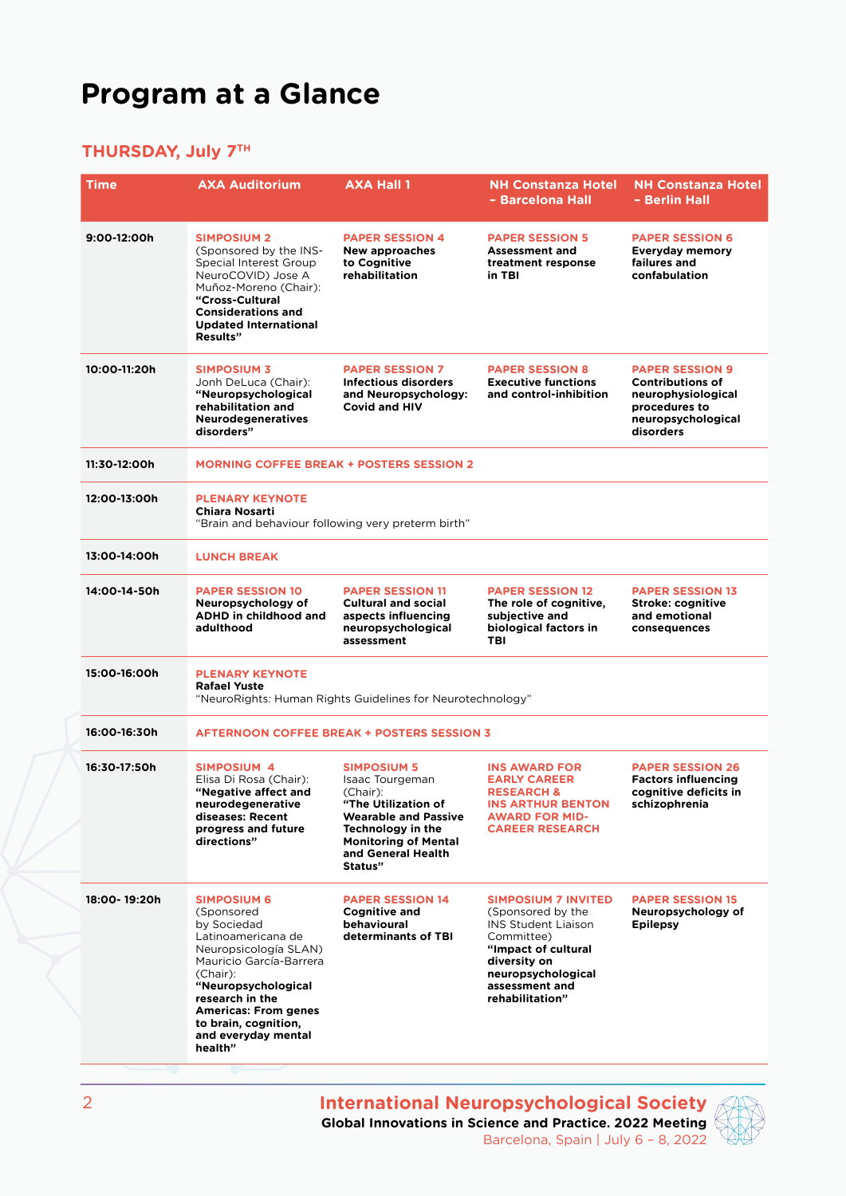## **Program at a Glance**

### **THURSDAY, July 7TH**

| <b>Time</b>  | <b>AXA Auditorium</b>                                                                                                                                                                                                                                                    | <b>AXA Hall 1</b>                                                                                                                                                                            | <b>NH Constanza Hotel</b><br>- Barcelona Hall                                                                                                                                                 | <b>NH Constanza Hotel</b><br>- Berlin Hall                                                                                  |  |
|--------------|--------------------------------------------------------------------------------------------------------------------------------------------------------------------------------------------------------------------------------------------------------------------------|----------------------------------------------------------------------------------------------------------------------------------------------------------------------------------------------|-----------------------------------------------------------------------------------------------------------------------------------------------------------------------------------------------|-----------------------------------------------------------------------------------------------------------------------------|--|
| 9:00-12:00h  | <b>SIMPOSIUM 2</b><br>(Sponsored by the INS-<br>Special Interest Group<br>NeuroCOVID) Jose A<br>Muñoz-Moreno (Chair):<br>"Cross-Cultural<br><b>Considerations and</b><br><b>Updated International</b><br>Results"                                                        | <b>PAPER SESSION 4</b><br><b>New approaches</b><br>to Cognitive<br>rehabilitation                                                                                                            | <b>PAPER SESSION 5</b><br><b>Assessment and</b><br>treatment response<br>in TBI                                                                                                               | <b>PAPER SESSION 6</b><br><b>Everyday memory</b><br>failures and<br>confabulation                                           |  |
| 10:00-11:20h | <b>SIMPOSIUM 3</b><br>Jonh DeLuca (Chair):<br>"Neuropsychological<br>rehabilitation and<br><b>Neurodegeneratives</b><br>disorders"                                                                                                                                       | <b>PAPER SESSION 7</b><br><b>Infectious disorders</b><br>and Neuropsychology:<br><b>Covid and HIV</b>                                                                                        | <b>PAPER SESSION 8</b><br><b>Executive functions</b><br>and control-inhibition                                                                                                                | <b>PAPER SESSION 9</b><br><b>Contributions of</b><br>neurophysiological<br>procedures to<br>neuropsychological<br>disorders |  |
| 11:30-12:00h | <b>MORNING COFFEE BREAK + POSTERS SESSION 2</b>                                                                                                                                                                                                                          |                                                                                                                                                                                              |                                                                                                                                                                                               |                                                                                                                             |  |
| 12:00-13:00h | <b>PLENARY KEYNOTE</b><br><b>Chiara Nosarti</b><br>"Brain and behaviour following very preterm birth"                                                                                                                                                                    |                                                                                                                                                                                              |                                                                                                                                                                                               |                                                                                                                             |  |
| 13:00-14:00h | <b>LUNCH BREAK</b>                                                                                                                                                                                                                                                       |                                                                                                                                                                                              |                                                                                                                                                                                               |                                                                                                                             |  |
| 14:00-14-50h | <b>PAPER SESSION 10</b><br>Neuropsychology of<br>ADHD in childhood and<br>adulthood                                                                                                                                                                                      | <b>PAPER SESSION 11</b><br><b>Cultural and social</b><br>aspects influencing<br>neuropsychological<br>assessment                                                                             | <b>PAPER SESSION 12</b><br>The role of cognitive,<br>subjective and<br>biological factors in<br>TBI                                                                                           | <b>PAPER SESSION 13</b><br><b>Stroke: cognitive</b><br>and emotional<br>consequences                                        |  |
| 15:00-16:00h | <b>PLENARY KEYNOTE</b><br><b>Rafael Yuste</b><br>"NeuroRights: Human Rights Guidelines for Neurotechnology"                                                                                                                                                              |                                                                                                                                                                                              |                                                                                                                                                                                               |                                                                                                                             |  |
| 16:00-16:30h | <b>AFTERNOON COFFEE BREAK + POSTERS SESSION 3</b>                                                                                                                                                                                                                        |                                                                                                                                                                                              |                                                                                                                                                                                               |                                                                                                                             |  |
| 16:30-17:50h | <b>SIMPOSIUM 4</b><br>Elisa Di Rosa (Chair):<br>"Negative affect and<br>neurodegenerative<br>diseases: Recent<br>progress and future<br>directions"                                                                                                                      | <b>SIMPOSIUM 5</b><br>Isaac Tourgeman<br>(Chair):<br>"The Utilization of<br><b>Wearable and Passive</b><br>Technology in the<br><b>Monitoring of Mental</b><br>and General Health<br>Status" | <b>INS AWARD FOR</b><br><b>EARLY CAREER</b><br><b>RESEARCH &amp;</b><br><b>INS ARTHUR BENTON</b><br><b>AWARD FOR MID-</b><br><b>CAREER RESEARCH</b>                                           | <b>PAPER SESSION 26</b><br><b>Factors influencing</b><br>cognitive deficits in<br>schizophrenia                             |  |
| 18:00-19:20h | <b>SIMPOSIUM 6</b><br>(Sponsored<br>by Sociedad<br>Latinoamericana de<br>Neuropsicología SLAN)<br>Mauricio García-Barrera<br>(Chair):<br>"Neuropsychological<br>research in the<br><b>Americas: From genes</b><br>to brain, cognition,<br>and everyday mental<br>health" | <b>PAPER SESSION 14</b><br><b>Cognitive and</b><br>behavioural<br>determinants of TBI                                                                                                        | <b>SIMPOSIUM 7 INVITED</b><br>(Sponsored by the<br><b>INS Student Liaison</b><br>Committee)<br>"Impact of cultural<br>diversity on<br>neuropsychological<br>assessment and<br>rehabilitation" | <b>PAPER SESSION 15</b><br>Neuropsychology of<br><b>Epilepsy</b>                                                            |  |

**International Neuropsychological Society Global Innovations in Science and Practice. 2022 Meeting** Barcelona, Spain | July 6 – 8, 2022